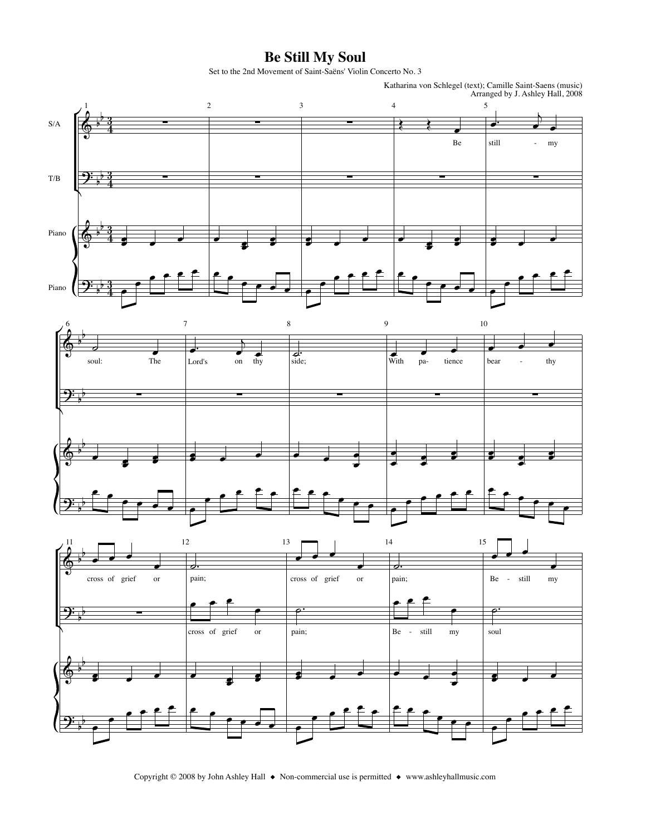## **Be Still My Soul**

Set to the 2nd Movement of Saint-Saëns' Violin Concerto No. 3





Copyright © 2008 by John Ashley Hall ◆ Non-commercial use is permitted ◆ www.ashleyhallmusic.com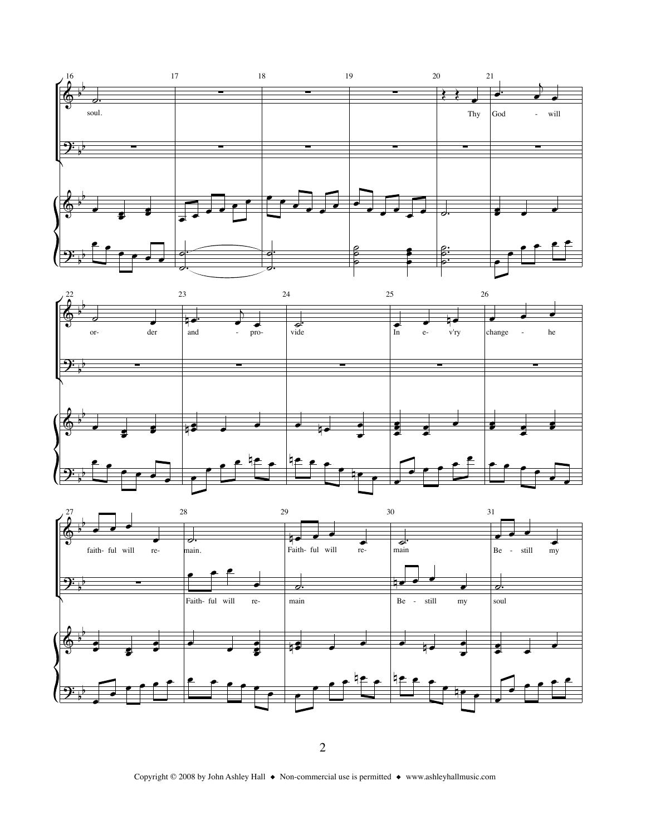



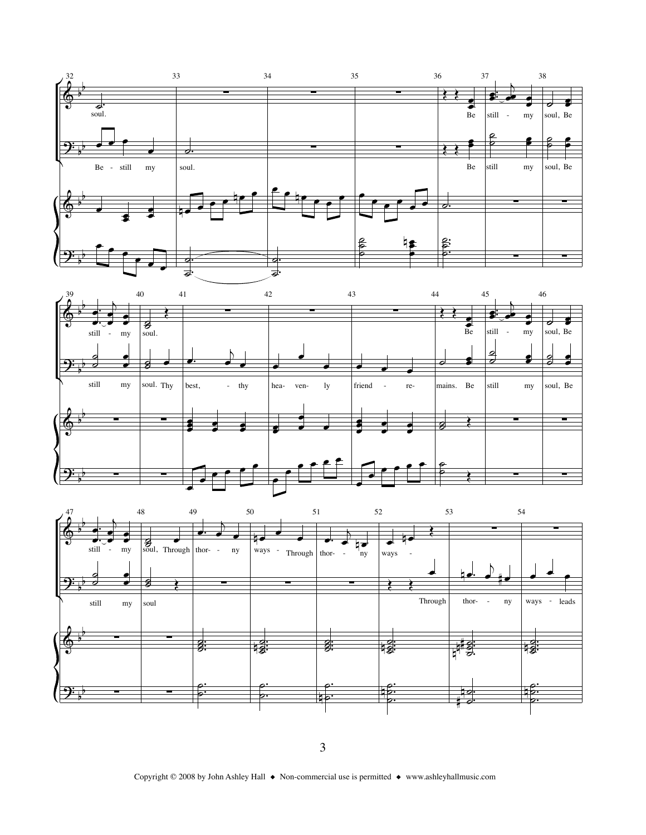





Copyright © 2008 by John Ashley Hall  $\;\blacklozenge\;$  Non-commercial use is permitted  $\;\blacklozenge\;$  www.ashleyhallmusic.com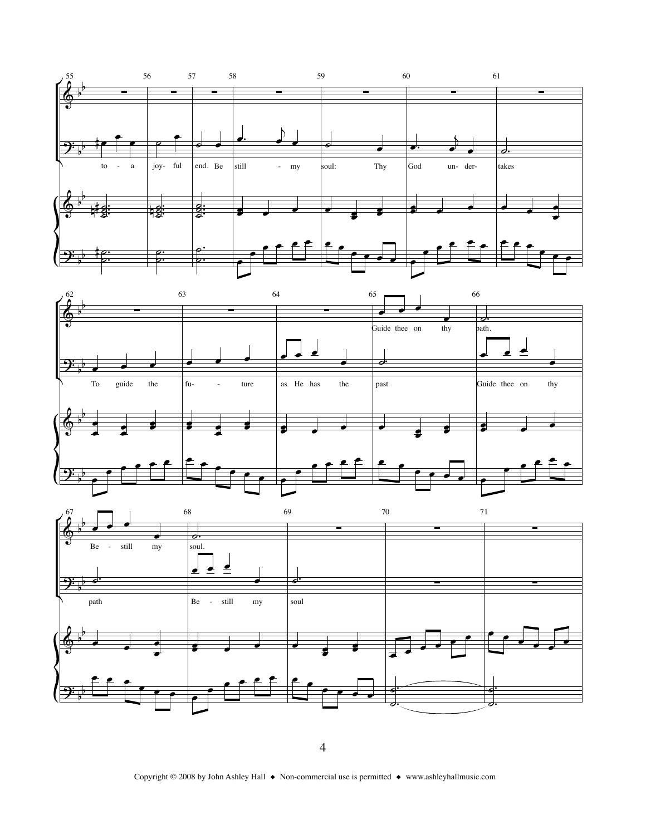





 $\overline{4}$ 

Copyright © 2008 by John Ashley Hall  $\;\blacklozenge\;$  Non-commercial use is permitted  $\;\blacklozenge\;$  www.ashleyhallmusic.com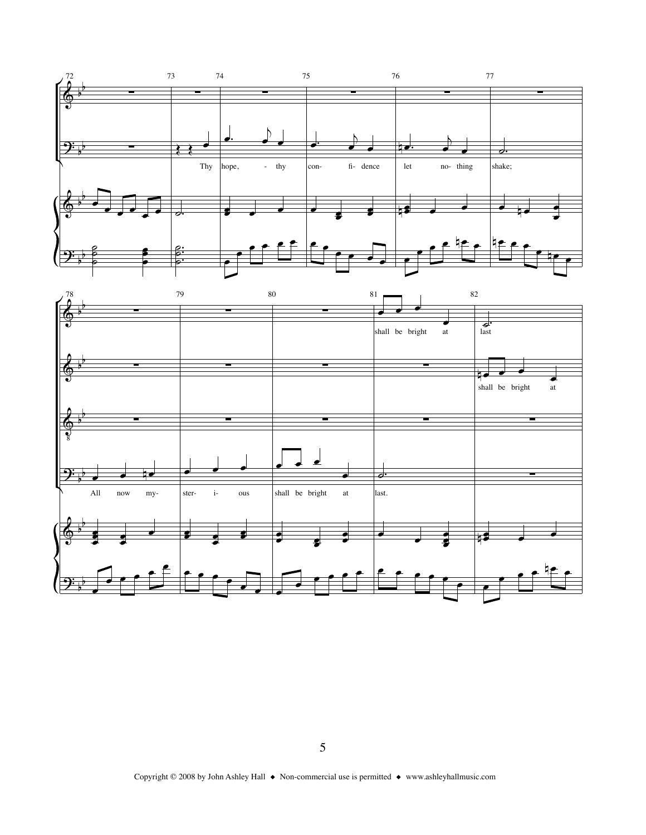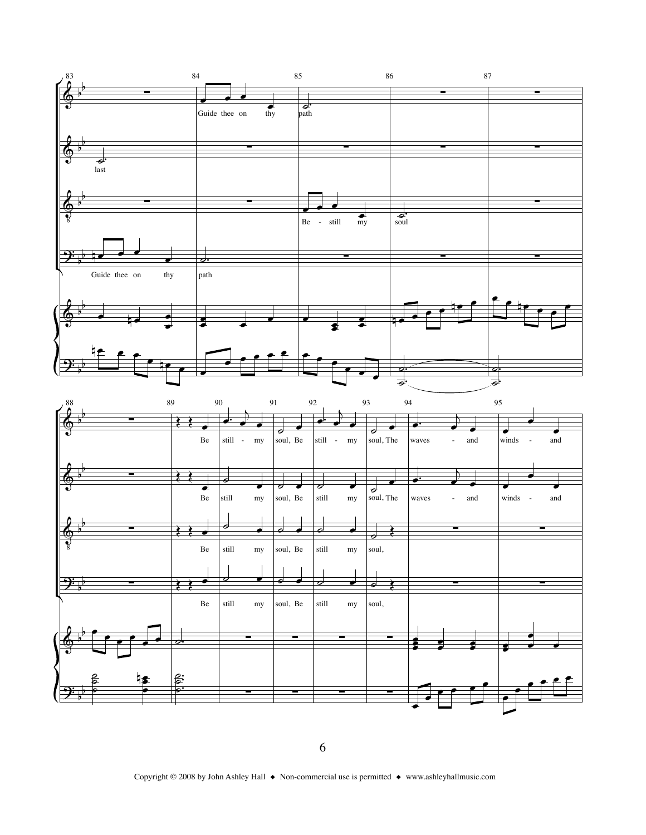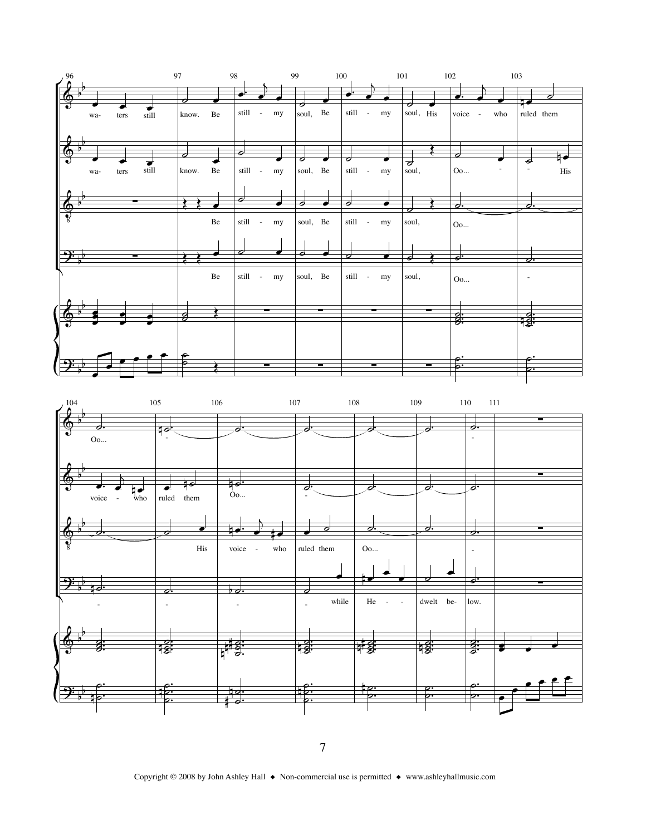

 $\overline{7}$ 

Copyright © 2008 by John Ashley Hall  $\;\blacklozenge\;$  Non-commercial use is permitted  $\;\blacklozenge\;$  www.ashleyhallmusic.com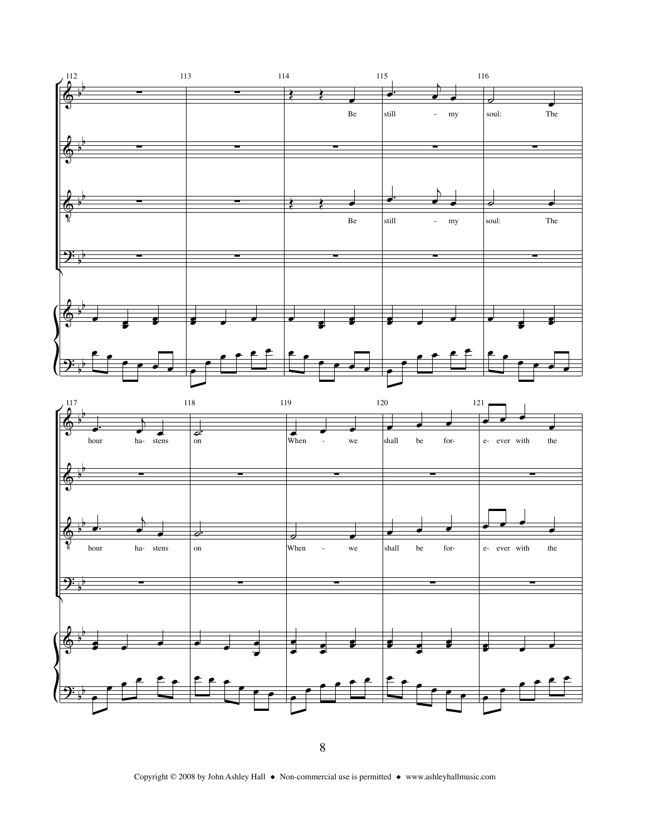

8

Copyright © 2008 by John Ashley Hall  $\;\blacklozenge\;$  Non-commercial use is permitted  $\;\blacklozenge\;$  www.ashleyhallmusic.com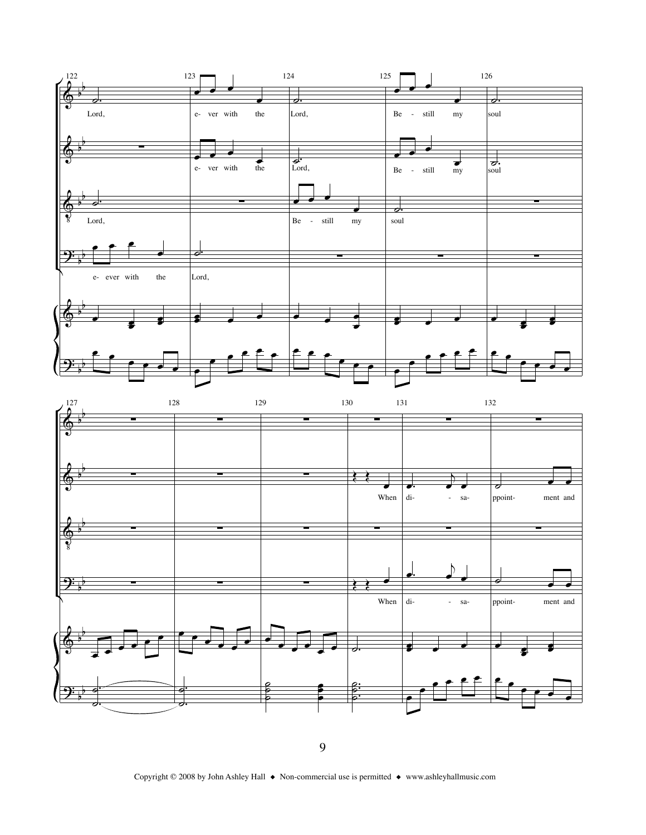

Copyright © 2008 by John Ashley Hall  $\;\blacklozenge\;$  Non-commercial use is permitted  $\;\blacklozenge\;$  www.ashleyhallmusic.com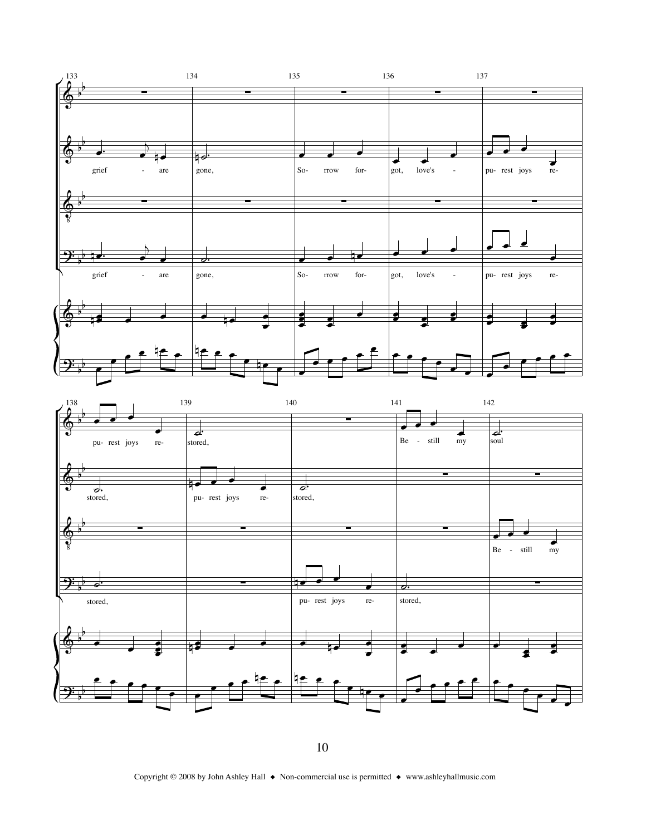

10

Copyright © 2008 by John Ashley Hall ◆ Non-commercial use is permitted ◆ www.ashleyhallmusic.com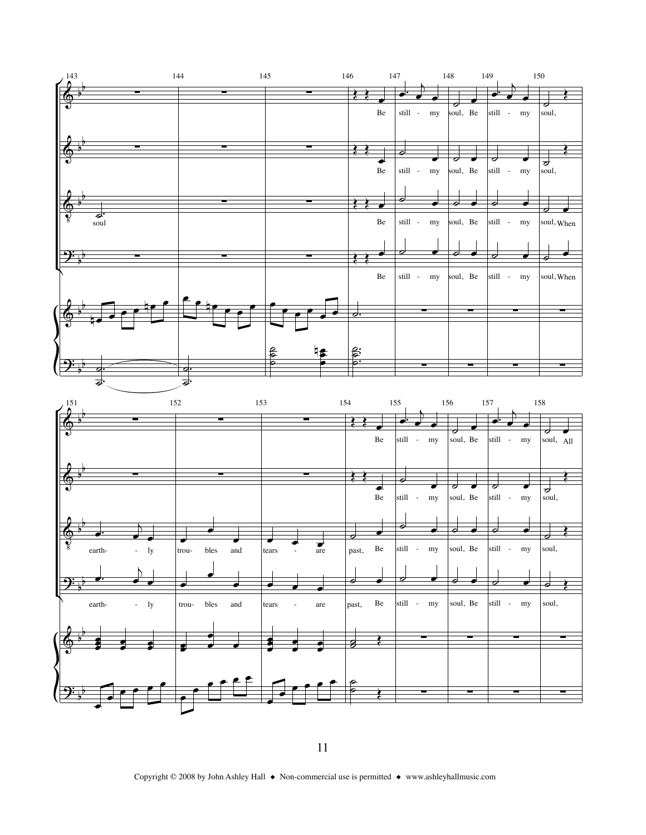

Copyright © 2008 by John Ashley Hall ◆ Non-commercial use is permitted ◆ www.ashleyhallmusic.com